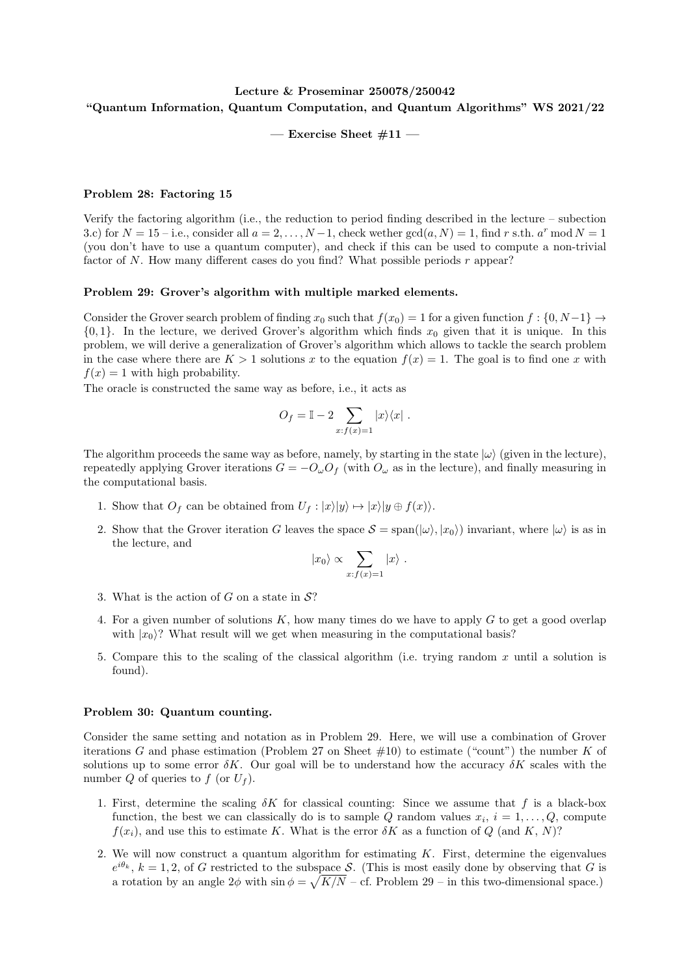## Lecture & Proseminar 250078/250042 "Quantum Information, Quantum Computation, and Quantum Algorithms" WS 2021/22

— Exercise Sheet  $\#11$  —

## Problem 28: Factoring 15

Verify the factoring algorithm (i.e., the reduction to period finding described in the lecture – subection 3.c) for  $N = 15$  – i.e., consider all  $a = 2, ..., N-1$ , check wether  $gcd(a, N) = 1$ , find r s.th.  $a^r \mod N = 1$ (you don't have to use a quantum computer), and check if this can be used to compute a non-trivial factor of  $N$ . How many different cases do you find? What possible periods  $r$  appear?

## Problem 29: Grover's algorithm with multiple marked elements.

Consider the Grover search problem of finding  $x_0$  such that  $f(x_0) = 1$  for a given function  $f : \{0, N-1\} \rightarrow$  $\{0, 1\}$ . In the lecture, we derived Grover's algorithm which finds  $x_0$  given that it is unique. In this problem, we will derive a generalization of Grover's algorithm which allows to tackle the search problem in the case where there are  $K > 1$  solutions x to the equation  $f(x) = 1$ . The goal is to find one x with  $f(x) = 1$  with high probability.

The oracle is constructed the same way as before, i.e., it acts as

$$
O_f = \mathbb{I} - 2 \sum_{x:f(x)=1} |x\rangle\langle x|.
$$

The algorithm proceeds the same way as before, namely, by starting in the state  $|\omega\rangle$  (given in the lecture), repeatedly applying Grover iterations  $G = -Q_{\omega}O_f$  (with  $O_{\omega}$  as in the lecture), and finally measuring in the computational basis.

- 1. Show that  $O_f$  can be obtained from  $U_f : |x\rangle|y\rangle \mapsto |x\rangle|y \oplus f(x)\rangle$ .
- 2. Show that the Grover iteration G leaves the space  $S = \text{span}(|\omega\rangle, |x_0\rangle)$  invariant, where  $|\omega\rangle$  is as in the lecture, and

$$
|x_0\rangle \propto \sum_{x:f(x)=1} |x\rangle.
$$

- 3. What is the action of G on a state in  $\mathcal{S}$ ?
- 4. For a given number of solutions  $K$ , how many times do we have to apply  $G$  to get a good overlap with  $|x_0\rangle$ ? What result will we get when measuring in the computational basis?
- 5. Compare this to the scaling of the classical algorithm (i.e. trying random  $x$  until a solution is found).

## Problem 30: Quantum counting.

Consider the same setting and notation as in Problem 29. Here, we will use a combination of Grover iterations G and phase estimation (Problem 27 on Sheet  $\#10$ ) to estimate ("count") the number K of solutions up to some error  $\delta K$ . Our goal will be to understand how the accuracy  $\delta K$  scales with the number  $Q$  of queries to  $f$  (or  $U_f$ ).

- 1. First, determine the scaling  $\delta K$  for classical counting: Since we assume that f is a black-box function, the best we can classically do is to sample Q random values  $x_i$ ,  $i = 1, \ldots, Q$ , compute  $f(x_i)$ , and use this to estimate K. What is the error  $\delta K$  as a function of Q (and K, N)?
- 2. We will now construct a quantum algorithm for estimating  $K$ . First, determine the eigenvalues  $e^{i\theta_k}$ ,  $k = 1, 2$ , of G restricted to the subspace S. (This is most easily done by observing that G is a rotation by an angle  $2\phi$  with  $\sin \phi = \sqrt{K/N}$  – cf. Problem 29 – in this two-dimensional space.)